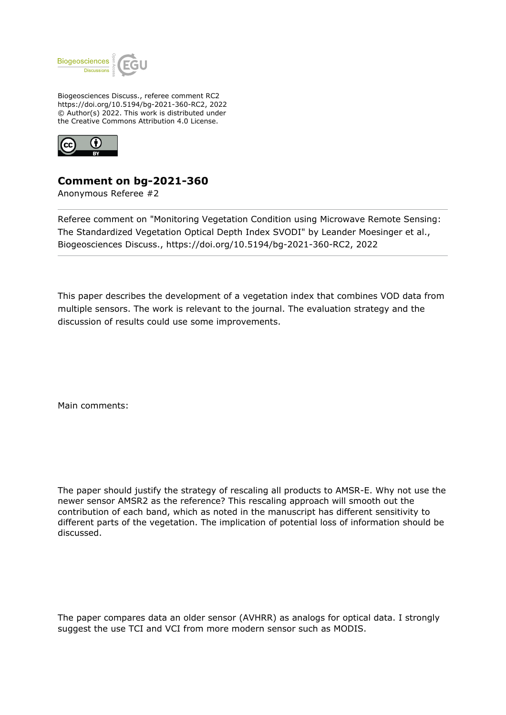

Biogeosciences Discuss., referee comment RC2 https://doi.org/10.5194/bg-2021-360-RC2, 2022 © Author(s) 2022. This work is distributed under the Creative Commons Attribution 4.0 License.



## **Comment on bg-2021-360**

Anonymous Referee #2

Referee comment on "Monitoring Vegetation Condition using Microwave Remote Sensing: The Standardized Vegetation Optical Depth Index SVODI" by Leander Moesinger et al., Biogeosciences Discuss., https://doi.org/10.5194/bg-2021-360-RC2, 2022

This paper describes the development of a vegetation index that combines VOD data from multiple sensors. The work is relevant to the journal. The evaluation strategy and the discussion of results could use some improvements.

Main comments:

The paper should justify the strategy of rescaling all products to AMSR-E. Why not use the newer sensor AMSR2 as the reference? This rescaling approach will smooth out the contribution of each band, which as noted in the manuscript has different sensitivity to different parts of the vegetation. The implication of potential loss of information should be discussed.

The paper compares data an older sensor (AVHRR) as analogs for optical data. I strongly suggest the use TCI and VCI from more modern sensor such as MODIS.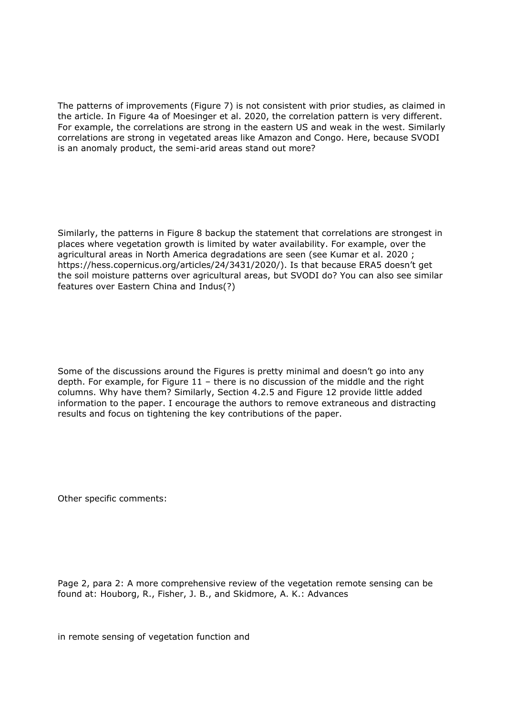The patterns of improvements (Figure 7) is not consistent with prior studies, as claimed in the article. In Figure 4a of Moesinger et al. 2020, the correlation pattern is very different. For example, the correlations are strong in the eastern US and weak in the west. Similarly correlations are strong in vegetated areas like Amazon and Congo. Here, because SVODI is an anomaly product, the semi-arid areas stand out more?

Similarly, the patterns in Figure 8 backup the statement that correlations are strongest in places where vegetation growth is limited by water availability. For example, over the agricultural areas in North America degradations are seen (see Kumar et al. 2020 ; https://hess.copernicus.org/articles/24/3431/2020/). Is that because ERA5 doesn't get the soil moisture patterns over agricultural areas, but SVODI do? You can also see similar features over Eastern China and Indus(?)

Some of the discussions around the Figures is pretty minimal and doesn't go into any depth. For example, for Figure 11 – there is no discussion of the middle and the right columns. Why have them? Similarly, Section 4.2.5 and Figure 12 provide little added information to the paper. I encourage the authors to remove extraneous and distracting results and focus on tightening the key contributions of the paper.

Other specific comments:

Page 2, para 2: A more comprehensive review of the vegetation remote sensing can be found at: Houborg, R., Fisher, J. B., and Skidmore, A. K.: Advances

in remote sensing of vegetation function and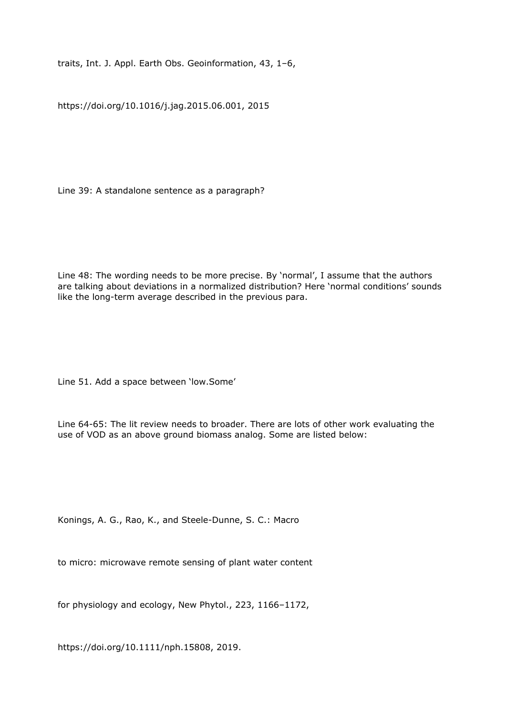traits, Int. J. Appl. Earth Obs. Geoinformation, 43, 1–6,

https://doi.org/10.1016/j.jag.2015.06.001, 2015

Line 39: A standalone sentence as a paragraph?

Line 48: The wording needs to be more precise. By 'normal', I assume that the authors are talking about deviations in a normalized distribution? Here 'normal conditions' sounds like the long-term average described in the previous para.

Line 51. Add a space between 'low.Some'

Line 64-65: The lit review needs to broader. There are lots of other work evaluating the use of VOD as an above ground biomass analog. Some are listed below:

Konings, A. G., Rao, K., and Steele-Dunne, S. C.: Macro

to micro: microwave remote sensing of plant water content

for physiology and ecology, New Phytol., 223, 1166–1172,

https://doi.org/10.1111/nph.15808, 2019.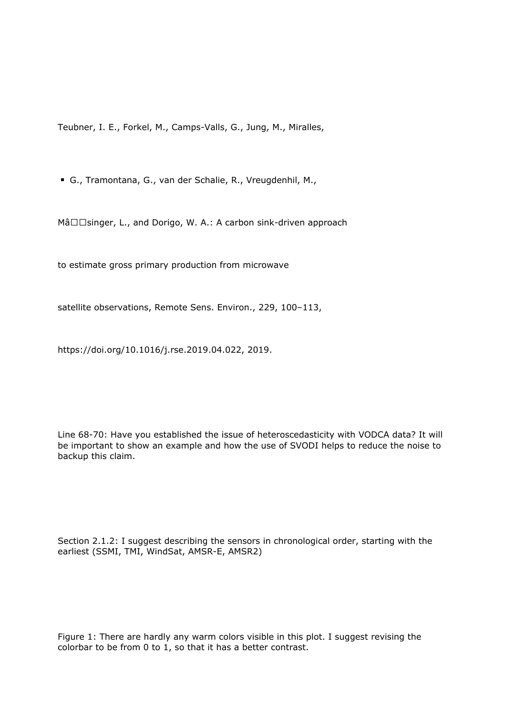Teubner, I. E., Forkel, M., Camps-Valls, G., Jung, M., Miralles,

G., Tramontana, G., van der Schalie, R., Vreugdenhil, M.,

Mâ□□singer, L., and Dorigo, W. A.: A carbon sink-driven approach

to estimate gross primary production from microwave

satellite observations, Remote Sens. Environ., 229, 100–113,

https://doi.org/10.1016/j.rse.2019.04.022, 2019.

Line 68-70: Have you established the issue of heteroscedasticity with VODCA data? It will be important to show an example and how the use of SVODI helps to reduce the noise to backup this claim.

Section 2.1.2: I suggest describing the sensors in chronological order, starting with the earliest (SSMI, TMI, WindSat, AMSR-E, AMSR2)

Figure 1: There are hardly any warm colors visible in this plot. I suggest revising the colorbar to be from 0 to 1, so that it has a better contrast.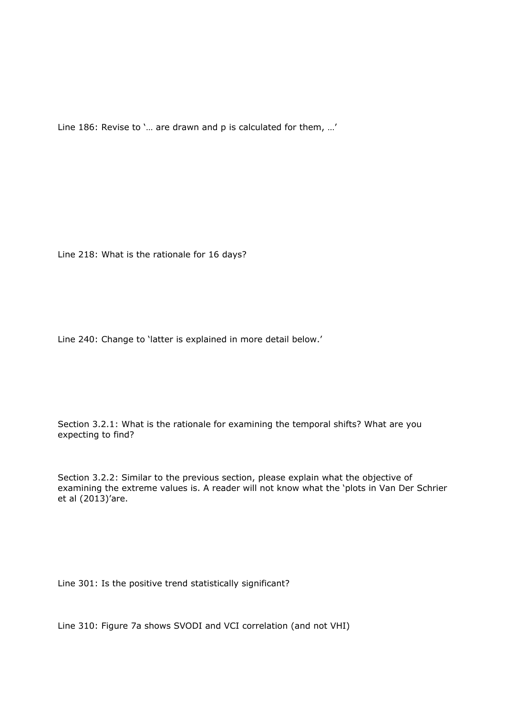Line 186: Revise to '… are drawn and p is calculated for them, …'

Line 218: What is the rationale for 16 days?

Line 240: Change to 'latter is explained in more detail below.'

Section 3.2.1: What is the rationale for examining the temporal shifts? What are you expecting to find?

Section 3.2.2: Similar to the previous section, please explain what the objective of examining the extreme values is. A reader will not know what the 'plots in Van Der Schrier et al (2013)'are.

Line 301: Is the positive trend statistically significant?

Line 310: Figure 7a shows SVODI and VCI correlation (and not VHI)